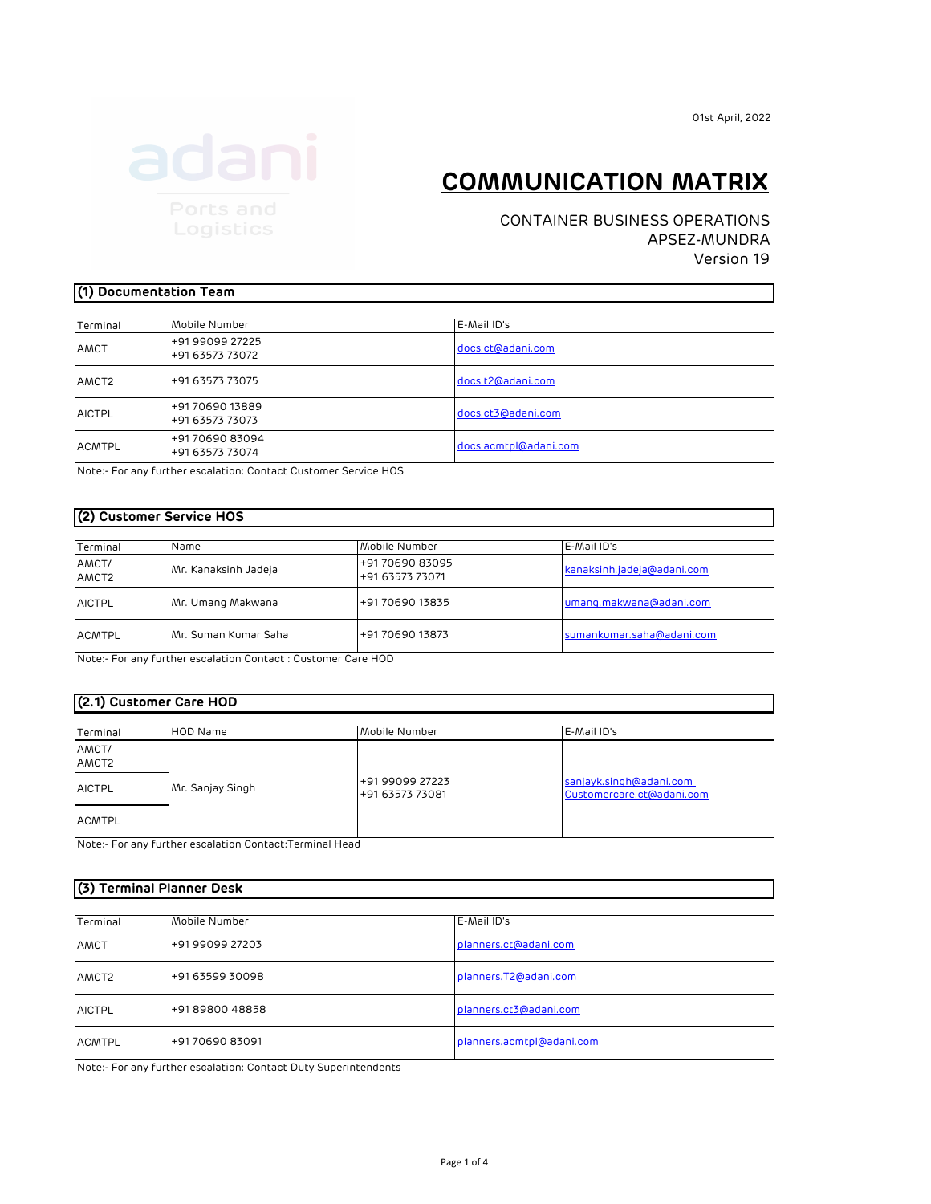01st April, 2022

# **COMMUNICATION MATRIX**

CONTAINER BUSINESS OPERATIONS APSEZ-MUNDRA Version 19

#### **(1) Documentation Team**

| Terminal          | Mobile Number                      | E-Mail ID's           |  |
|-------------------|------------------------------------|-----------------------|--|
| AMCT              | +91 99099 27225<br>+91 63573 73072 | docs.ct@adani.com     |  |
| AMCT <sub>2</sub> | +91 63573 73075                    | docs.t2@adani.com     |  |
| <b>AICTPL</b>     | +91 70690 13889<br>+91 63573 73073 | docs.ct3@adani.com    |  |
| <b>ACMTPL</b>     | +917069083094<br>+91 63573 73074   | docs.acmtpl@adani.com |  |

Note:- For any further escalation: Contact Customer Service HOS

#### **(2) Customer Service HOS**

| Terminal                   | Name                  | Mobile Number                      | E-Mail ID's                |
|----------------------------|-----------------------|------------------------------------|----------------------------|
| AMCT/<br>AMCT <sub>2</sub> | Mr. Kanaksinh Jadeja  | +91 70690 83095<br>+91 63573 73071 | kanaksinh.jadeja@adani.com |
| <b>AICTPL</b>              | Mr. Umang Makwana     | +91 70690 13835                    | umang.makwana@adani.com    |
| <b>ACMTPL</b>              | IMr. Suman Kumar Saha | +91 70690 13873                    | sumankumar.saha@adani.com  |

Note:- For any further escalation Contact : Customer Care HOD

#### **(2.1) Customer Care HOD**

| Terminal                   | <b>HOD Name</b>  | Mobile Number                      | E-Mail ID's                                          |
|----------------------------|------------------|------------------------------------|------------------------------------------------------|
| AMCT/<br>AMCT <sub>2</sub> |                  |                                    |                                                      |
| <b>AICTPL</b>              | Mr. Sanjay Singh | +91 99099 27223<br>+91 63573 73081 | sanjayk.singh@adani.com<br>Customercare.ct@adani.com |
| <b>ACMTPL</b>              |                  |                                    |                                                      |

Note:- For any further escalation Contact:Terminal Head

| (3) Terminal Planner Desk |                 |                           |  |  |  |
|---------------------------|-----------------|---------------------------|--|--|--|
| Terminal                  |                 |                           |  |  |  |
|                           | Mobile Number   | E-Mail ID's               |  |  |  |
| AMCT                      | +91 99099 27203 | planners.ct@adani.com     |  |  |  |
| AMCT <sub>2</sub>         | +91 63599 30098 | planners.T2@adani.com     |  |  |  |
|                           |                 |                           |  |  |  |
| <b>AICTPL</b>             | +91 89800 48858 | planners.ct3@adani.com    |  |  |  |
| <b>ACMTPL</b>             | +91 70690 83091 | planners.acmtpl@adani.com |  |  |  |

Note:- For any further escalation: Contact Duty Superintendents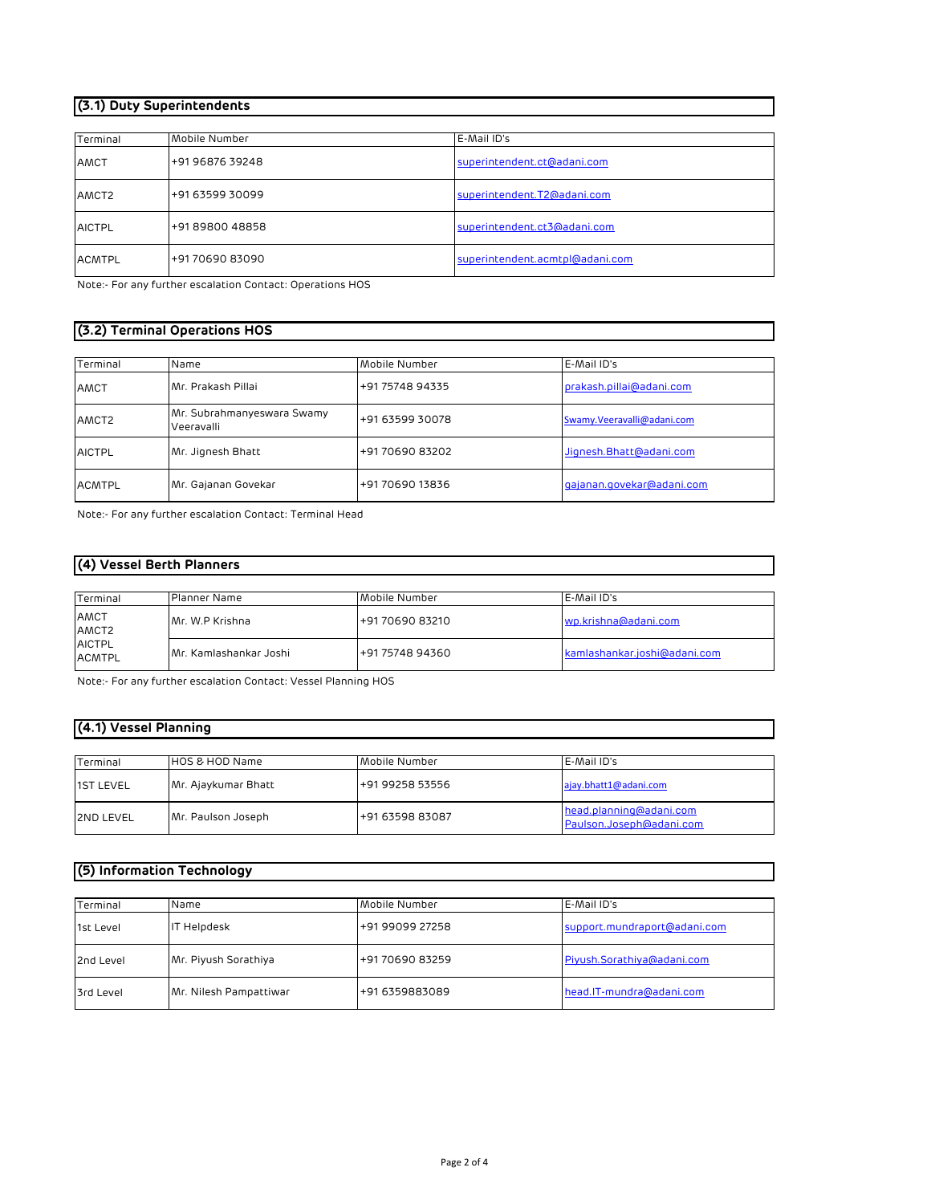## **(3.1) Duty Superintendents**

| Terminal          | Mobile Number   | E-Mail ID's                     |
|-------------------|-----------------|---------------------------------|
| AMCT              | +91 96876 39248 | superintendent.ct@adani.com     |
| AMCT <sub>2</sub> | +91 63599 30099 | superintendent.T2@adani.com     |
| <b>AICTPL</b>     | +91 89800 48858 | superintendent.ct3@adani.com    |
| ACMTPL            | +917069083090   | superintendent.acmtpl@adani.com |

Note:- For any further escalation Contact: Operations HOS

## **(3.2) Terminal Operations HOS**

| Terminal          | Name                                     | Mobile Number   | E-Mail ID's                |
|-------------------|------------------------------------------|-----------------|----------------------------|
| AMCT              | Mr. Prakash Pillai                       | +91 75748 94335 | prakash.pillai@adani.com   |
| AMCT <sub>2</sub> | Mr. Subrahmanyeswara Swamy<br>Veeravalli | +91 63599 30078 | Swamy.Veeravalli@adani.com |
| <b>AICTPL</b>     | Mr. Jignesh Bhatt                        | +91 70690 83202 | Jignesh.Bhatt@adani.com    |
| <b>ACMTPL</b>     | Mr. Gajanan Govekar                      | +91 70690 13836 | gajanan.govekar@adani.com  |

Note:- For any further escalation Contact: Terminal Head

## **(4) Vessel Berth Planners**

| Terminal                                        | Planner Name           | Mobile Number   | E-Mail ID's                  |
|-------------------------------------------------|------------------------|-----------------|------------------------------|
| AMCT<br>AMCT2<br><b>AICTPL</b><br><b>ACMTPL</b> | Mr. W.P Krishna        | +91 70690 83210 | wp.krishna@adani.com         |
|                                                 | Mr. Kamlashankar Joshi | +91 75748 94360 | kamlashankar.joshi@adani.com |

Note:- For any further escalation Contact: Vessel Planning HOS

#### **(4.1) Vessel Planning**

| Terminal         | HOS & HOD Name      | Mobile Number   | E-Mail ID's                                         |
|------------------|---------------------|-----------------|-----------------------------------------------------|
| <b>IST LEVEL</b> | Mr. Ajaykumar Bhatt | +91 99258 53556 | ajay.bhatt1@adani.com                               |
| <b>2ND LEVEL</b> | Mr. Paulson Joseph  | +91 63598 83087 | head.planning@adani.com<br>Paulson.Joseph@adani.com |

## **(5) Information Technology**

| Terminal  | Name                   | Mobile Number   | E-Mail ID's                  |
|-----------|------------------------|-----------------|------------------------------|
| 1st Level | IT Helpdesk            | +91 99099 27258 | support.mundraport@adani.com |
| 2nd Level | Mr. Piyush Sorathiya   | +91 70690 83259 | Piyush.Sorathiya@adani.com   |
| 3rd Level | Mr. Nilesh Pampattiwar | +91 6359883089  | head.IT-mundra@adani.com     |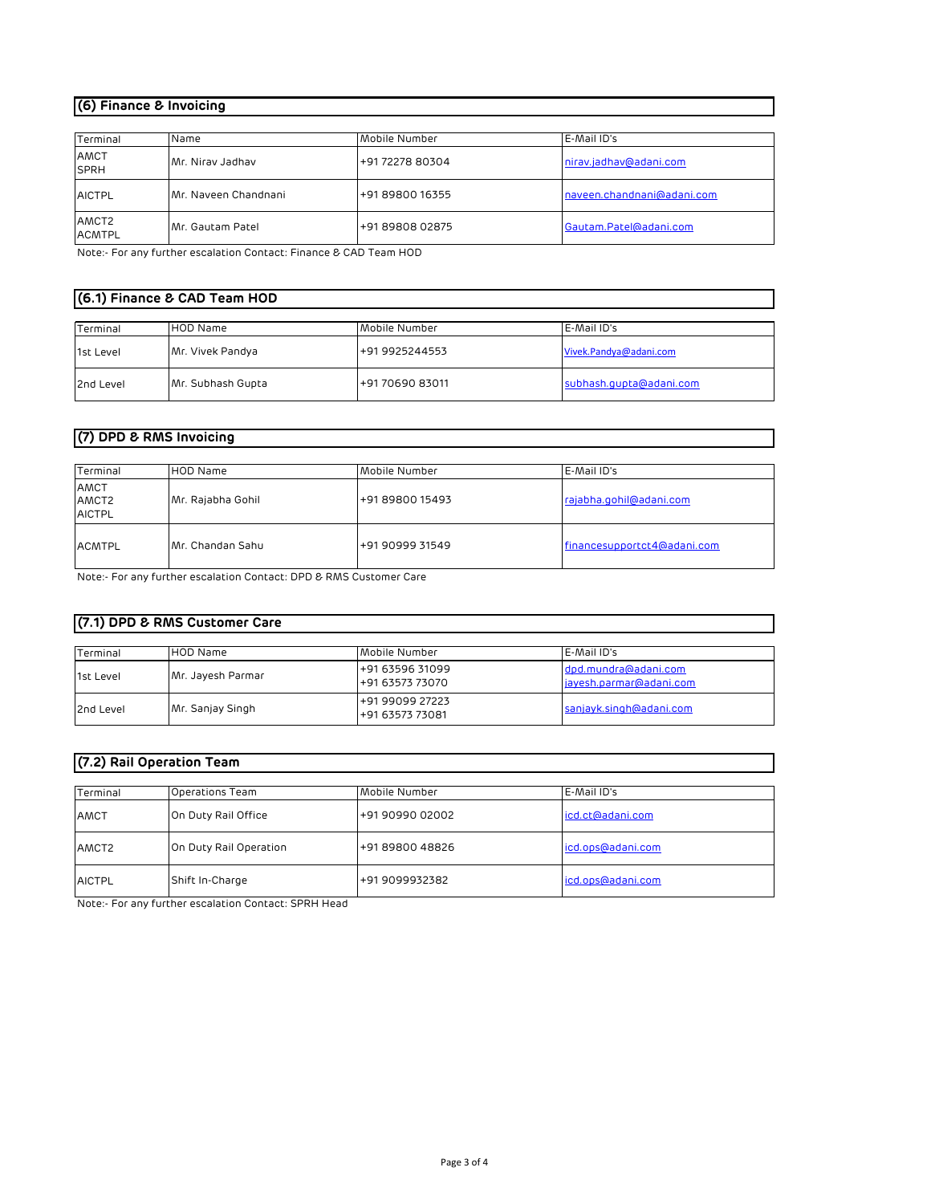#### **(6) Finance & Invoicing**

| Terminal               | Name                 | Mobile Number   | E-Mail ID's                |
|------------------------|----------------------|-----------------|----------------------------|
| AMCT<br><b>SPRH</b>    | Mr. Nirav Jadhav     | +91 72278 80304 | nirav.jadhav@adani.com     |
| <b>AICTPL</b>          | Mr. Naveen Chandnani | +91 89800 16355 | naveen.chandnani@adani.com |
| AMCT2<br><b>ACMTPL</b> | IMr. Gautam Patel    | +91 89808 02875 | Gautam.Patel@adani.com     |

Note:- For any further escalation Contact: Finance & CAD Team HOD

#### **(6.1) Finance & CAD Team HOD**

| Terminal  | <b>HOD Name</b>   | Mobile Number   | E-Mail ID's             |
|-----------|-------------------|-----------------|-------------------------|
| 1st Level | Mr. Vivek Pandya  | +91 9925244553  | Vivek.Pandya@adani.com  |
| 2nd Level | Mr. Subhash Gupta | +91 70690 83011 | subhash.qupta@adani.com |

# **(7) DPD & RMS Invoicing**

| Terminal                       | <b>HOD Name</b>   | Mobile Number   | E-Mail ID's                 |
|--------------------------------|-------------------|-----------------|-----------------------------|
| AMCT<br>AMCT2<br><b>AICTPL</b> | Mr. Rajabha Gohil | +91 89800 15493 | rajabha.gohil@adani.com     |
| <b>ACMTPL</b>                  | Mr. Chandan Sahu  | +91 90999 31549 | financesupportct4@adani.com |

Note:- For any further escalation Contact: DPD & RMS Customer Care

## **(7.1) DPD & RMS Customer Care**

| Terminal  | <b>HOD Name</b>   | Mobile Number                      | E-Mail ID's                                     |
|-----------|-------------------|------------------------------------|-------------------------------------------------|
| 1st Level | Mr. Jayesh Parmar | +91 63596 31099<br>+91 63573 73070 | dpd.mundra@adani.com<br>jayesh.parmar@adani.com |
| 2nd Level | Mr. Sanjay Singh  | +91 99099 27223<br>+91 63573 73081 | sanjayk.singh@adani.com                         |

#### **(7.2) Rail Operation Team**

| Terminal          | Operations Team        | Mobile Number   | E-Mail ID's       |
|-------------------|------------------------|-----------------|-------------------|
| AMCT              | On Duty Rail Office    | +91 90990 02002 | icd.ct@adani.com  |
| AMCT <sub>2</sub> | On Duty Rail Operation | +91 89800 48826 | icd.ops@adani.com |
| <b>AICTPL</b>     | Shift In-Charge        | +91 9099932382  | icd.ops@adani.com |

Note:- For any further escalation Contact: SPRH Head